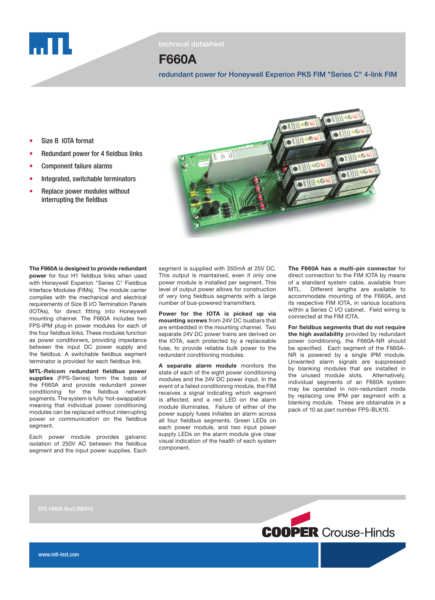

# F660A

redundant power for Honeywell Experion PKS FIM "Series C" 4-link FIM

 $\overline{AB}$ 

- Size B IOTA format
- **Redundant power for 4 fieldbus links**
- **Component failure alarms**
- Integrated, switchable terminators
- Replace power modules without interrupting the fieldbus

The F660A is designed to provide redundant power for four H1 fieldbus links when used with Honeywell Experion "Series C" Fieldbus Interface Modules (FIMs). The module carrier complies with the mechanical and electrical requirements of Size B I/O Termination Panels (IOTAs), for direct fitting into Honeywell mounting channel. The F660A includes two FPS-IPM plug-in power modules for each of the four fieldbus links. These modules function as power conditioners, providing impedance between the input DC power supply and the fieldbus. A switchable fieldbus segment terminator is provided for each fieldbus link. MTL-Relcom redundant fieldbus power supplies (FPS-Series) form the basis of the F660A and provide redundant power conditioning for the fieldbus network segments. The system is fully 'hot-swappable' meaning that individual power conditioning modules can be replaced without interrupting power or communication on the fieldbus

Each power module provides galvanic isolation of 250V AC between the fieldbus segment and the input power supplies. Each



 $\frac{1}{3}$   $\frac{1}{3}$   $\frac{1}{3}$ 

Power for the IOTA is picked up via mounting screws from 24V DC busbars that are embedded in the mounting channel. Two separate 24V DC power trains are derived on the IOTA, each protected by a replaceable fuse, to provide reliable bulk power to the redundant conditioning modules.

A separate alarm module monitors the state of each of the eight power conditioning modules and the 24V DC power input. In the event of a failed conditioning module, the FIM receives a signal indicating which segment is affected, and a red LED on the alarm module illuminates. Failure of either of the power supply fuses initiates an alarm across all four fieldbus segments. Green LEDs on each power module, and two input power supply LEDs on the alarm module give clear visual indication of the health of each system component.

The F660A has a multi-pin connector for direct connection to the FIM IOTA by means of a standard system cable, available from MTL. Different lengths are available to accommodate mounting of the F660A, and its respective FIM IOTA, in various locations within a Series C I/O cabinet. Field wiring is connected at the FIM IOTA.

For fieldbus segments that do not require the high availability provided by redundant power conditioning, the F660A-NR should be specified. Each segment of the F660A-NR is powered by a single IPM module. Unwanted alarm signals are suppressed by blanking modules that are installed in the unused module slots. Alternatively, individual segments of an F660A system may be operated in non-redundant mode by replacing one IPM per segment with a blanking module. These are obtainable in a pack of 10 as part number FPS-BLK10.

seament.

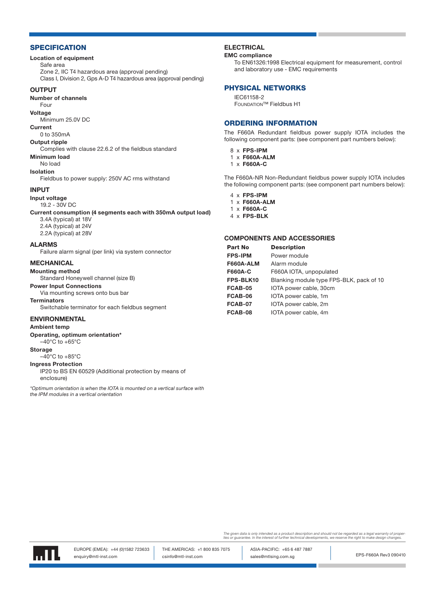## **SPECIFICATION**

#### Location of equipment

Safe area

Zone 2, IIC T4 hazardous area (approval pending)

Class I, Division 2, Gps A-D T4 hazardous area (approval pending)

### **OUTPUT**

Number of channels

## Four

Voltage

Minimum 25.0V DC

# Current

0 to 350mA Output ripple

Complies with clause 22.6.2 of the fieldbus standard Minimum load

#### No load

Isolation

Fieldbus to power supply: 250V AC rms withstand

#### INPUT

Input voltage

19.2 - 30V DC

Current consumption (4 segments each with 350mA output load)

3.4A (typical) at 18V 2.4A (typical) at 24V 2.2A (typical) at 28V

#### ALARMS

Failure alarm signal (per link) via system connector

#### MECHANICAL

Mounting method Standard Honeywell channel (size B)

Power Input Connections

Via mounting screws onto bus bar

**Terminators** 

Switchable terminator for each fieldbus segment

# ENVIRONMENTAL

#### Ambient temp

Operating, optimum orientation\*

 $-40^{\circ}$ C to  $+65^{\circ}$ C

### **Storage**

 $-40^{\circ}$ C to  $+85^{\circ}$ C

# Ingress Protection

IP20 to BS EN 60529 (Additional protection by means of enclosure)

\*Optimum orientation is when the IOTA is mounted on a vertical surface with the IPM modules in a vertical orientation

#### **ELECTRICAL**

#### EMC compliance

To EN61326:1998 Electrical equipment for measurement, control and laboratory use - EMC requirements

#### PHYSICAL NETWORKS

IEC61158-2 Foundation™ Fieldbus H1

#### ORDERING INFORMATION

The F660A Redundant fieldbus power supply IOTA includes the following component parts: (see component part numbers below):

- 8 x FPS-IPM
- 1 x F660A-ALM
- 1 x F660A-C

The F660A-NR Non-Redundant fieldbus power supply IOTA includes the following component parts: (see component part numbers below):

- 4 x FPS-IPM
- 1 x F660A-ALM
- 1 x F660A-C 4 x FPS-BLK
- 

#### COMPONENTS AND ACCESSORIES

| <b>Part No</b>   | <b>Description</b>                       |
|------------------|------------------------------------------|
| <b>FPS-IPM</b>   | Power module                             |
| <b>F660A-ALM</b> | Alarm module                             |
| <b>F660A-C</b>   | F660A IOTA, unpopulated                  |
| FPS-BLK10        | Blanking module type FPS-BLK, pack of 10 |
| FCAB-05          | IOTA power cable, 30cm                   |
| FCAB-06          | IOTA power cable, 1m                     |
| FCAB-07          | IOTA power cable, 2m                     |
| FCAB-08          | IOTA power cable, 4m                     |

The given data is only intended as a product description and should not be regarded as a legal warranty of proper<br>ties or guarantee. In the interest of further technical developments, we reserve the right to make design ch



EPS-F660A Rev3 090410